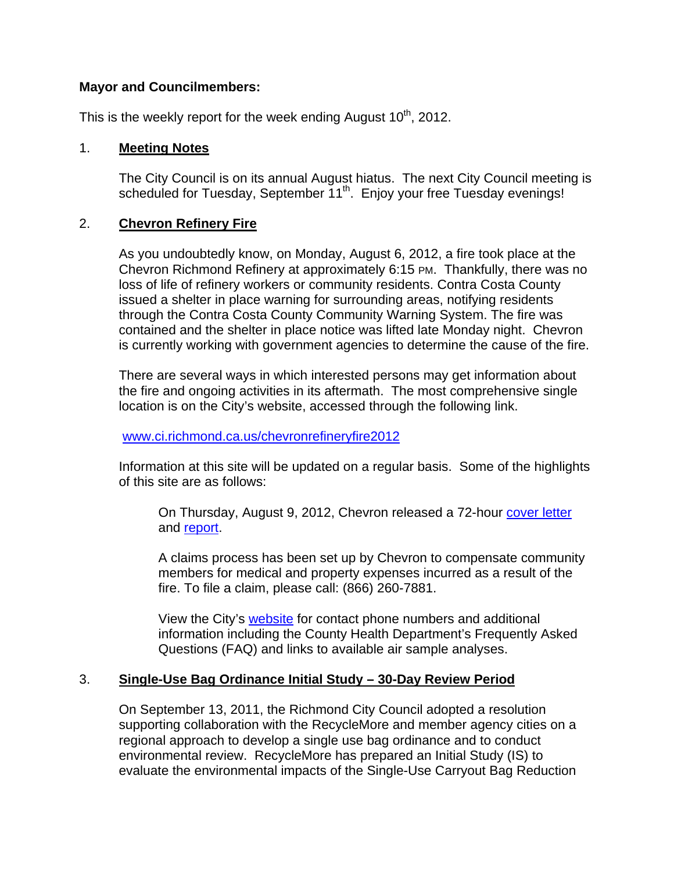## **Mayor and Councilmembers:**

This is the weekly report for the week ending August  $10<sup>th</sup>$ , 2012.

## 1. **Meeting Notes**

The City Council is on its annual August hiatus. The next City Council meeting is scheduled for Tuesday, September 11<sup>th</sup>. Enjoy your free Tuesday evenings!

## 2. **Chevron Refinery Fire**

As you undoubtedly know, on Monday, August 6, 2012, a fire took place at the Chevron Richmond Refinery at approximately 6:15 PM. Thankfully, there was no loss of life of refinery workers or community residents. Contra Costa County issued a shelter in place warning for surrounding areas, notifying residents through the Contra Costa County Community Warning System. The fire was contained and the shelter in place notice was lifted late Monday night. Chevron is currently working with government agencies to determine the cause of the fire.

There are several ways in which interested persons may get information about the fire and ongoing activities in its aftermath. The most comprehensive single location is on the City's website, accessed through the following link.

#### www.ci.richmond.ca.us/chevronrefineryfire2012

Information at this site will be updated on a regular basis. Some of the highlights of this site are as follows:

On Thursday, August 9, 2012, Chevron released a 72-hour cover letter and report.

A claims process has been set up by Chevron to compensate community members for medical and property expenses incurred as a result of the fire. To file a claim, please call: (866) 260-7881.

View the City's website for contact phone numbers and additional information including the County Health Department's Frequently Asked Questions (FAQ) and links to available air sample analyses.

# 3. **Single-Use Bag Ordinance Initial Study – 30-Day Review Period**

On September 13, 2011, the Richmond City Council adopted a resolution supporting collaboration with the RecycleMore and member agency cities on a regional approach to develop a single use bag ordinance and to conduct environmental review. RecycleMore has prepared an Initial Study (IS) to evaluate the environmental impacts of the Single-Use Carryout Bag Reduction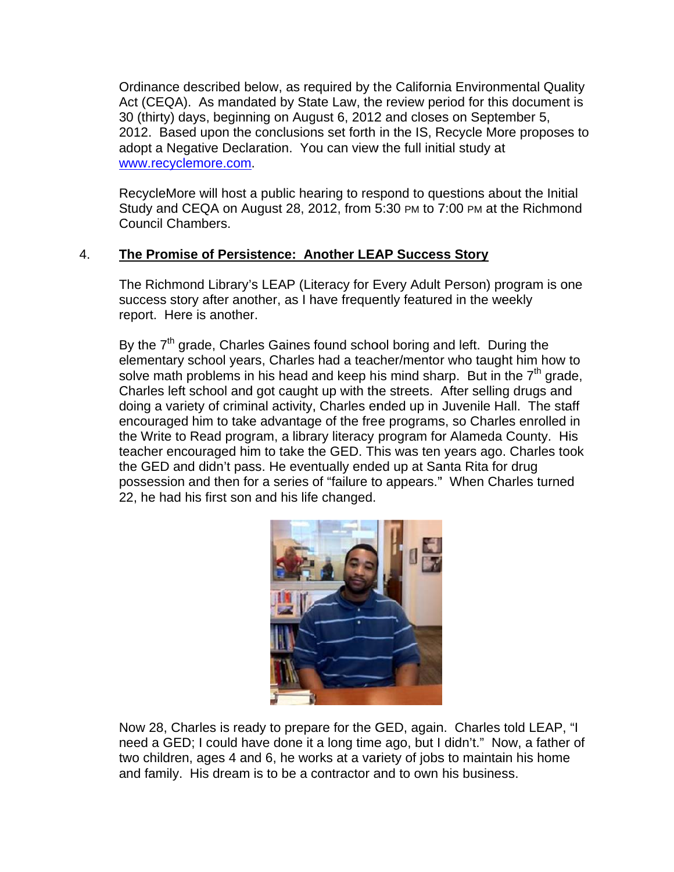Ordinance described below, as required by the California Environmental Quality Act (CEQA). As mandated by State Law, the review period for this document is 30 (thirty) days, beginning on August 6, 2012 and closes on September 5, 2012. Based upon the conclusions set forth in the IS, Recycle More proposes to adopt a Negative Declaration. You can view the full initial study at www.recyclemore.com.

RecycleMore will host a public hearing to respond to questions about the Initial Study and CEQA on August 28, 2012, from 5:30 PM to 7:00 PM at the Richmond Council Chambers.

#### $4.$ The Promise of Persistence: Another LEAP Success Story

The Richmond Library's LEAP (Literacy for Every Adult Person) program is one success story after another, as I have frequently featured in the weekly report. Here is another.

By the  $7<sup>th</sup>$  grade, Charles Gaines found school boring and left. During the elementary school years, Charles had a teacher/mentor who taught him how to solve math problems in his head and keep his mind sharp. But in the  $7<sup>th</sup>$  grade, Charles left school and got caught up with the streets. After selling drugs and doing a variety of criminal activity, Charles ended up in Juvenile Hall. The staff encouraged him to take advantage of the free programs, so Charles enrolled in the Write to Read program, a library literacy program for Alameda County. His teacher encouraged him to take the GED. This was ten years ago. Charles took the GED and didn't pass. He eventually ended up at Santa Rita for drug possession and then for a series of "failure to appears." When Charles turned 22, he had his first son and his life changed.



Now 28, Charles is ready to prepare for the GED, again. Charles told LEAP, "I need a GED; I could have done it a long time ago, but I didn't." Now, a father of two children, ages 4 and 6, he works at a variety of jobs to maintain his home and family. His dream is to be a contractor and to own his business.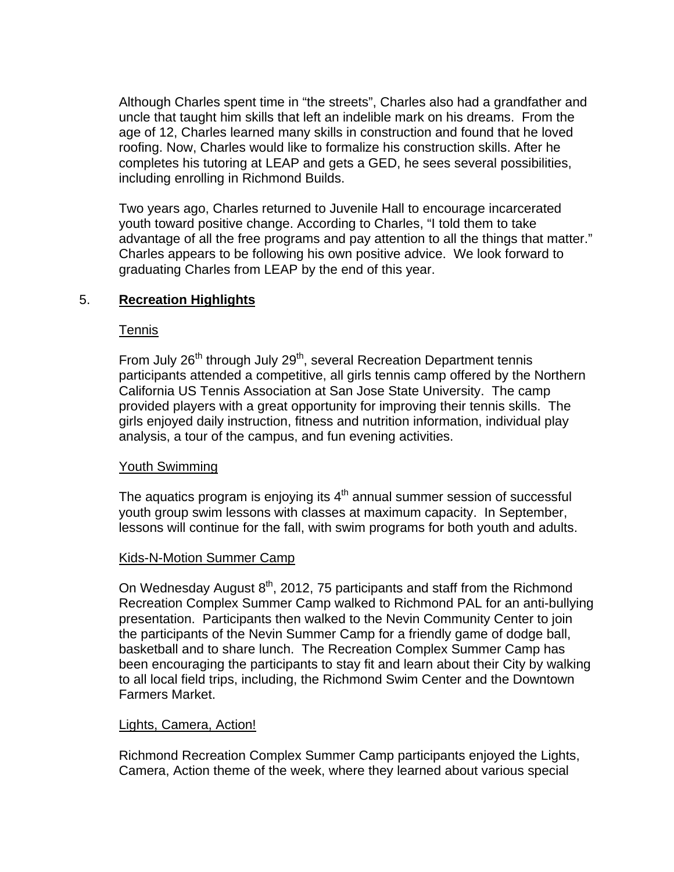Although Charles spent time in "the streets", Charles also had a grandfather and uncle that taught him skills that left an indelible mark on his dreams. From the age of 12, Charles learned many skills in construction and found that he loved roofing. Now, Charles would like to formalize his construction skills. After he completes his tutoring at LEAP and gets a GED, he sees several possibilities, including enrolling in Richmond Builds.

Two years ago, Charles returned to Juvenile Hall to encourage incarcerated youth toward positive change. According to Charles, "I told them to take advantage of all the free programs and pay attention to all the things that matter." Charles appears to be following his own positive advice. We look forward to graduating Charles from LEAP by the end of this year.

# 5. **Recreation Highlights**

### Tennis

From July 26<sup>th</sup> through July 29<sup>th</sup>, several Recreation Department tennis participants attended a competitive, all girls tennis camp offered by the Northern California US Tennis Association at San Jose State University. The camp provided players with a great opportunity for improving their tennis skills. The girls enjoyed daily instruction, fitness and nutrition information, individual play analysis, a tour of the campus, and fun evening activities.

# Youth Swimming

The aquatics program is enjoying its  $4<sup>th</sup>$  annual summer session of successful youth group swim lessons with classes at maximum capacity. In September, lessons will continue for the fall, with swim programs for both youth and adults.

#### Kids-N-Motion Summer Camp

On Wednesday August  $8<sup>th</sup>$ , 2012, 75 participants and staff from the Richmond Recreation Complex Summer Camp walked to Richmond PAL for an anti-bullying presentation. Participants then walked to the Nevin Community Center to join the participants of the Nevin Summer Camp for a friendly game of dodge ball, basketball and to share lunch. The Recreation Complex Summer Camp has been encouraging the participants to stay fit and learn about their City by walking to all local field trips, including, the Richmond Swim Center and the Downtown Farmers Market.

#### Lights, Camera, Action!

Richmond Recreation Complex Summer Camp participants enjoyed the Lights, Camera, Action theme of the week, where they learned about various special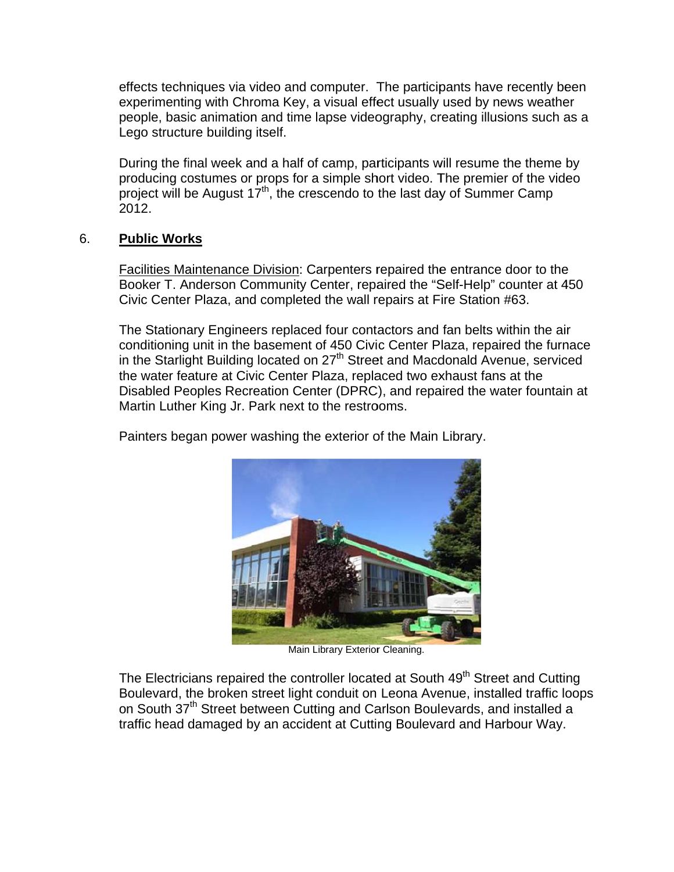effects techniques via video and computer. The participants have recently been experimenting with Chroma Key, a visual effect usually used by news weather people, basic animation and time lapse videography, creating illusions such as a Lego structure building itself.

During the final week and a half of camp, participants will resume the theme by producing costumes or props for a simple short video. The premier of the video project will be August 17<sup>th</sup>, the crescendo to the last day of Summer Camp 2012.

#### 6. **Public Works**

Facilities Maintenance Division: Carpenters repaired the entrance door to the Booker T. Anderson Community Center, repaired the "Self-Help" counter at 450 Civic Center Plaza, and completed the wall repairs at Fire Station #63.

The Stationary Engineers replaced four contactors and fan belts within the air conditioning unit in the basement of 450 Civic Center Plaza, repaired the furnace in the Starlight Building located on 27<sup>th</sup> Street and Macdonald Avenue, serviced the water feature at Civic Center Plaza, replaced two exhaust fans at the Disabled Peoples Recreation Center (DPRC), and repaired the water fountain at Martin Luther King Jr. Park next to the restrooms.

Painters began power washing the exterior of the Main Library.



Main Library Exterior Cleaning.

The Electricians repaired the controller located at South 49<sup>th</sup> Street and Cutting Boulevard, the broken street light conduit on Leona Avenue, installed traffic loops on South 37<sup>th</sup> Street between Cutting and Carlson Boulevards, and installed a traffic head damaged by an accident at Cutting Boulevard and Harbour Way.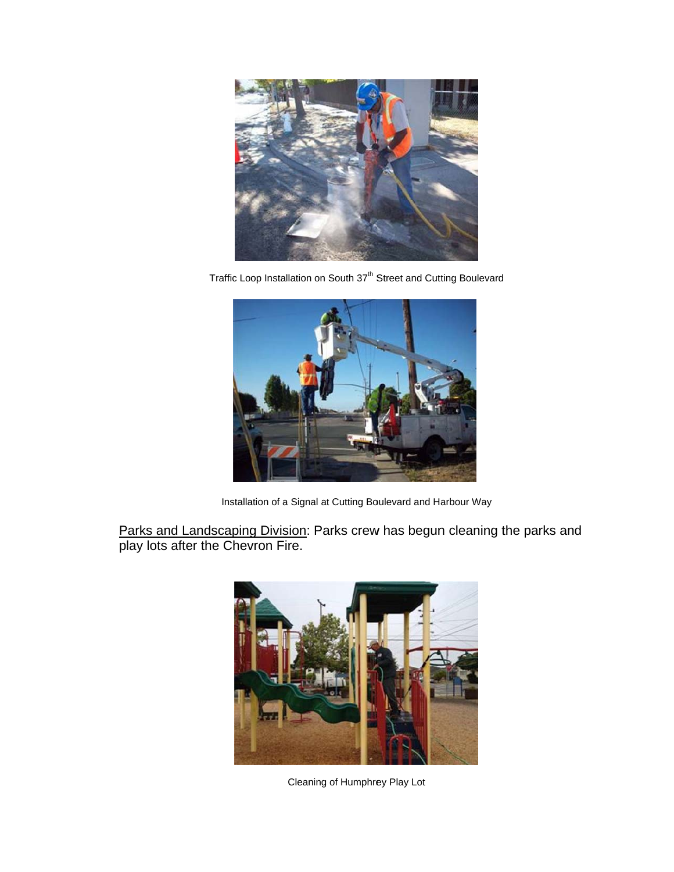

Traffic Loop Installation on South 37<sup>th</sup> Street and Cutting Boulevard



Installation of a Signal at Cutting Boulevard and Harbour Way

Parks and Landscaping Division: Parks crew has begun cleaning the parks and play lots after the Chevron Fire.



Cleaning of Humphrey Play Lot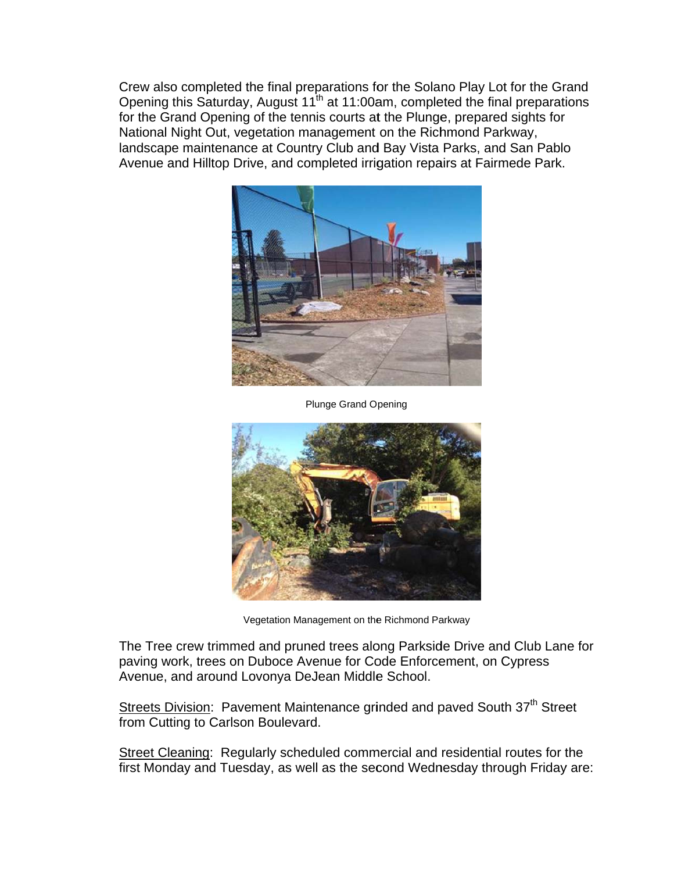Crew also completed the final preparations for the Solano Play Lot for the Grand Opening this Saturday, August 11<sup>th</sup> at 11:00am, completed the final preparations for the Grand Opening of the tennis courts at the Plunge, prepared sights for National Night Out, vegetation management on the Richmond Parkway, landscape maintenance at Country Club and Bay Vista Parks, and San Pablo Avenue and Hilltop Drive, and completed irrigation repairs at Fairmede Park.



**Plunge Grand Opening** 



Vegetation Management on the Richmond Parkway

The Tree crew trimmed and pruned trees along Parkside Drive and Club Lane for paving work, trees on Duboce Avenue for Code Enforcement, on Cypress Avenue, and around Lovonya DeJean Middle School.

Streets Division: Pavement Maintenance grinded and paved South 37<sup>th</sup> Street from Cutting to Carlson Boulevard.

Street Cleaning: Regularly scheduled commercial and residential routes for the first Monday and Tuesday, as well as the second Wednesday through Friday are: